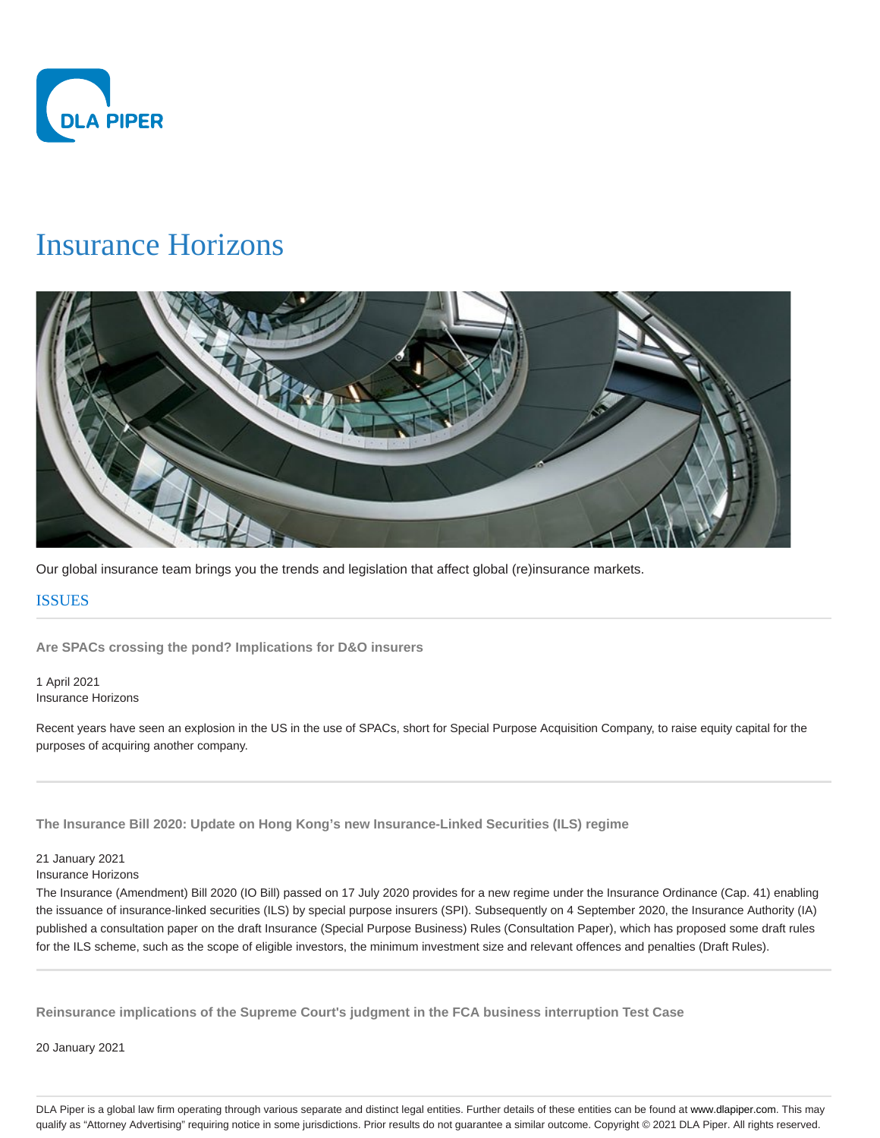

# Insurance Horizons



Our global insurance team brings you the trends and legislation that affect global (re)insurance markets.

# **ISSUES**

**Are SPACs crossing the pond? Implications for D&O insurers**

1 April 2021 Insurance Horizons

Recent years have seen an explosion in the US in the use of SPACs, short for Special Purpose Acquisition Company, to raise equity capital for the purposes of acquiring another company.

**The Insurance Bill 2020: Update on Hong Kong's new Insurance-Linked Securities (ILS) regime**

## 21 January 2021

Insurance Horizons

The Insurance (Amendment) Bill 2020 (IO Bill) passed on 17 July 2020 provides for a new regime under the Insurance Ordinance (Cap. 41) enabling the issuance of insurance-linked securities (ILS) by special purpose insurers (SPI). Subsequently on 4 September 2020, the Insurance Authority (IA) published a consultation paper on the draft Insurance (Special Purpose Business) Rules (Consultation Paper), which has proposed some draft rules for the ILS scheme, such as the scope of eligible investors, the minimum investment size and relevant offences and penalties (Draft Rules).

**Reinsurance implications of the Supreme Court's judgment in the FCA business interruption Test Case**

20 January 2021

DLA Piper is a global law firm operating through various separate and distinct legal entities. Further details of these entities can be found at www.dlapiper.com. This may qualify as "Attorney Advertising" requiring notice in some jurisdictions. Prior results do not guarantee a similar outcome. Copyright © 2021 DLA Piper. All rights reserved.